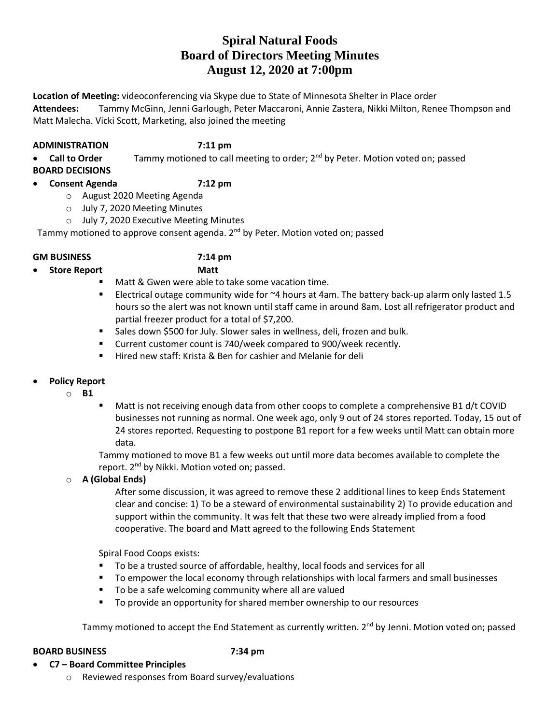# **Spiral Natural Foods Board of Directors Meeting Minutes August 12, 2020 at 7:00pm**

**Location of Meeting:** videoconferencing via Skype due to State of Minnesota Shelter in Place order **Attendees:** Tammy McGinn, Jenni Garlough, Peter Maccaroni, Annie Zastera, Nikki Milton, Renee Thompson and Matt Malecha. Vicki Scott, Marketing, also joined the meeting

## **ADMINISTRATION 7:11 pm**

**Call to Order** Tammy motioned to call meeting to order; 2<sup>nd</sup> by Peter. Motion voted on; passed

**BOARD DECISIONS**

## **Consent Agenda 7:12 pm**

- o August 2020 Meeting Agenda
- o July 7, 2020 Meeting Minutes
- o July 7, 2020 Executive Meeting Minutes

Tammy motioned to approve consent agenda. 2<sup>nd</sup> by Peter. Motion voted on; passed

## **GM BUSINESS 7:14 pm**

- **Store Report Matt**
	- **Matt & Gwen were able to take some vacation time.**
	- **Electrical outage community wide for**  $\approx$ **4 hours at 4am. The battery back-up alarm only lasted 1.5** hours so the alert was not known until staff came in around 8am. Lost all refrigerator product and partial freezer product for a total of \$7,200.
	- **Sales down \$500 for July. Slower sales in wellness, deli, frozen and bulk.**
	- **EXECUTE:** Current customer count is 740/week compared to 900/week recently.
	- Hired new staff: Krista & Ben for cashier and Melanie for deli

## **Policy Report**

- o **B1**
- Matt is not receiving enough data from other coops to complete a comprehensive B1 d/t COVID businesses not running as normal. One week ago, only 9 out of 24 stores reported. Today, 15 out of 24 stores reported. Requesting to postpone B1 report for a few weeks until Matt can obtain more data.

Tammy motioned to move B1 a few weeks out until more data becomes available to complete the report. 2<sup>nd</sup> by Nikki. Motion voted on; passed.

o **A (Global Ends)**

After some discussion, it was agreed to remove these 2 additional lines to keep Ends Statement clear and concise: 1) To be a steward of environmental sustainability 2) To provide education and support within the community. It was felt that these two were already implied from a food cooperative. The board and Matt agreed to the following Ends Statement

Spiral Food Coops exists:

- To be a trusted source of affordable, healthy, local foods and services for all
- **THE TO EMPORT THE COLUTE 1** To employ through relationships with local farmers and small businesses
- To be a safe welcoming community where all are valued
- To provide an opportunity for shared member ownership to our resources

Tammy motioned to accept the End Statement as currently written. 2<sup>nd</sup> by Jenni. Motion voted on; passed

## **BOARD BUSINESS 7:34 pm**

- **C7 – Board Committee Principles**
	- o Reviewed responses from Board survey/evaluations